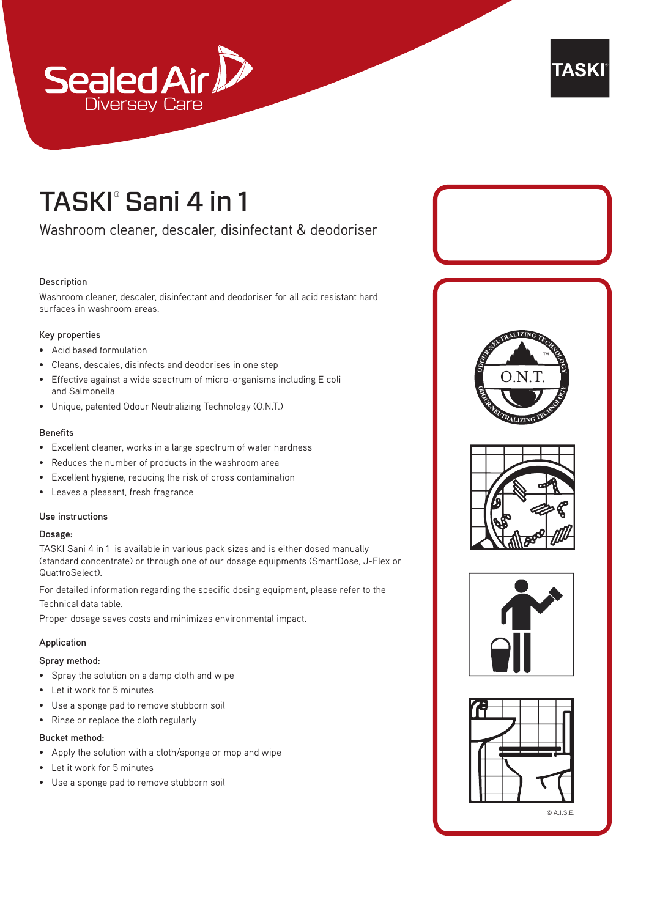



## TASKI® Sani 4 in 1

Washroom cleaner, descaler, disinfectant & deodoriser

## **Description**

Washroom cleaner, descaler, disinfectant and deodoriser for all acid resistant hard surfaces in washroom areas.

#### **Key properties**

- Acid based formulation
- Cleans, descales, disinfects and deodorises in one step
- Effective against a wide spectrum of micro-organisms including E coli and Salmonella
- Unique, patented Odour Neutralizing Technology (O.N.T.)

#### **Benefits**

- Excellent cleaner, works in a large spectrum of water hardness
- Reduces the number of products in the washroom area
- Excellent hygiene, reducing the risk of cross contamination
- Leaves a pleasant, fresh fragrance

## **Use instructions**

#### **Dosage:**

TASKI Sani 4 in 1 is available in various pack sizes and is either dosed manually (standard concentrate) or through one of our dosage equipments (SmartDose, J-Flex or QuattroSelect).

For detailed information regarding the specific dosing equipment, please refer to the Technical data table.

Proper dosage saves costs and minimizes environmental impact.

#### **Application**

#### **Spray method:**

- Spray the solution on a damp cloth and wipe
- Let it work for 5 minutes
- Use a sponge pad to remove stubborn soil
- Rinse or replace the cloth regularly

## **Bucket method:**

- Apply the solution with a cloth/sponge or mop and wipe
- Let it work for 5 minutes
- Use a sponge pad to remove stubborn soil









© A.I.S.E.